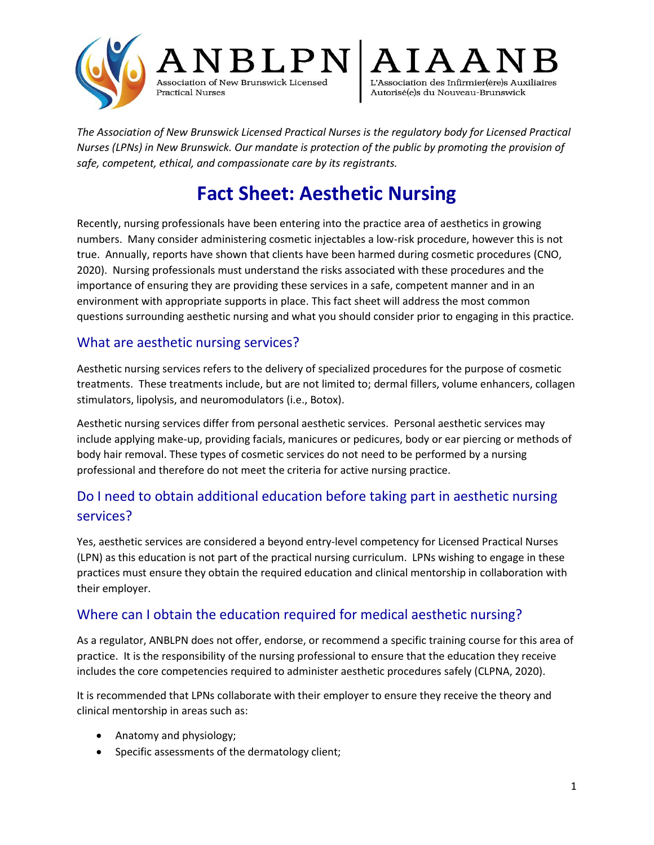



*The Association of New Brunswick Licensed Practical Nurses is the regulatory body for Licensed Practical Nurses (LPNs) in New Brunswick. Our mandate is protection of the public by promoting the provision of safe, competent, ethical, and compassionate care by its registrants.*

# **Fact Sheet: Aesthetic Nursing**

Recently, nursing professionals have been entering into the practice area of aesthetics in growing numbers. Many consider administering cosmetic injectables a low-risk procedure, however this is not true. Annually, reports have shown that clients have been harmed during cosmetic procedures (CNO, 2020). Nursing professionals must understand the risks associated with these procedures and the importance of ensuring they are providing these services in a safe, competent manner and in an environment with appropriate supports in place. This fact sheet will address the most common questions surrounding aesthetic nursing and what you should consider prior to engaging in this practice.

#### What are aesthetic nursing services?

**Practical Nurses** 

Aesthetic nursing services refers to the delivery of specialized procedures for the purpose of cosmetic treatments. These treatments include, but are not limited to; dermal fillers, volume enhancers, collagen stimulators, lipolysis, and neuromodulators (i.e., Botox).

Aesthetic nursing services differ from personal aesthetic services. Personal aesthetic services may include applying make-up, providing facials, manicures or pedicures, body or ear piercing or methods of body hair removal. These types of cosmetic services do not need to be performed by a nursing professional and therefore do not meet the criteria for active nursing practice.

# Do I need to obtain additional education before taking part in aesthetic nursing services?

Yes, aesthetic services are considered a beyond entry-level competency for Licensed Practical Nurses (LPN) as this education is not part of the practical nursing curriculum. LPNs wishing to engage in these practices must ensure they obtain the required education and clinical mentorship in collaboration with their employer.

#### Where can I obtain the education required for medical aesthetic nursing?

As a regulator, ANBLPN does not offer, endorse, or recommend a specific training course for this area of practice. It is the responsibility of the nursing professional to ensure that the education they receive includes the core competencies required to administer aesthetic procedures safely (CLPNA, 2020).

It is recommended that LPNs collaborate with their employer to ensure they receive the theory and clinical mentorship in areas such as:

- Anatomy and physiology;
- Specific assessments of the dermatology client;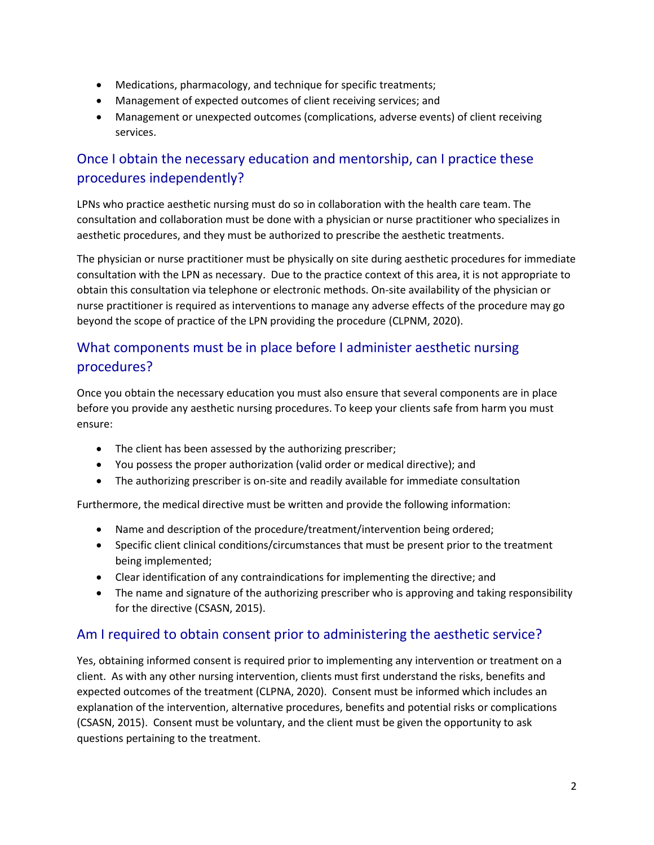- Medications, pharmacology, and technique for specific treatments;
- Management of expected outcomes of client receiving services; and
- Management or unexpected outcomes (complications, adverse events) of client receiving services.

# Once I obtain the necessary education and mentorship, can I practice these procedures independently?

LPNs who practice aesthetic nursing must do so in collaboration with the health care team. The consultation and collaboration must be done with a physician or nurse practitioner who specializes in aesthetic procedures, and they must be authorized to prescribe the aesthetic treatments.

The physician or nurse practitioner must be physically on site during aesthetic procedures for immediate consultation with the LPN as necessary. Due to the practice context of this area, it is not appropriate to obtain this consultation via telephone or electronic methods. On-site availability of the physician or nurse practitioner is required as interventions to manage any adverse effects of the procedure may go beyond the scope of practice of the LPN providing the procedure (CLPNM, 2020).

### What components must be in place before I administer aesthetic nursing procedures?

Once you obtain the necessary education you must also ensure that several components are in place before you provide any aesthetic nursing procedures. To keep your clients safe from harm you must ensure:

- The client has been assessed by the authorizing prescriber;
- You possess the proper authorization (valid order or medical directive); and
- The authorizing prescriber is on-site and readily available for immediate consultation

Furthermore, the medical directive must be written and provide the following information:

- Name and description of the procedure/treatment/intervention being ordered;
- Specific client clinical conditions/circumstances that must be present prior to the treatment being implemented;
- Clear identification of any contraindications for implementing the directive; and
- The name and signature of the authorizing prescriber who is approving and taking responsibility for the directive (CSASN, 2015).

#### Am I required to obtain consent prior to administering the aesthetic service?

Yes, obtaining informed consent is required prior to implementing any intervention or treatment on a client. As with any other nursing intervention, clients must first understand the risks, benefits and expected outcomes of the treatment (CLPNA, 2020). Consent must be informed which includes an explanation of the intervention, alternative procedures, benefits and potential risks or complications (CSASN, 2015). Consent must be voluntary, and the client must be given the opportunity to ask questions pertaining to the treatment.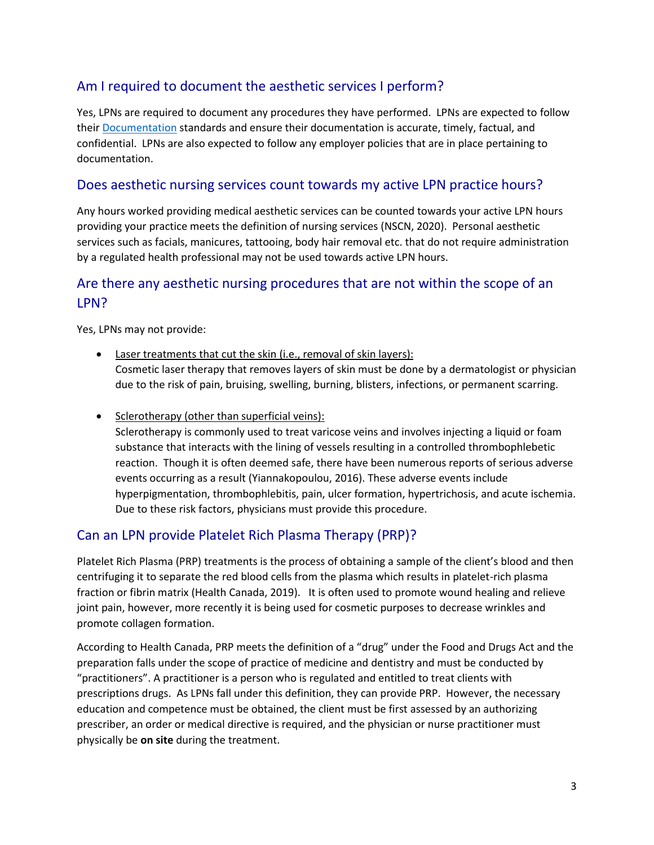#### Am I required to document the aesthetic services I perform?

Yes, LPNs are required to document any procedures they have performed. LPNs are expected to follow their [Documentation](https://www.anblpn.ca/wp-content/uploads/2022/02/Documentation.pdf) standards and ensure their documentation is accurate, timely, factual, and confidential. LPNs are also expected to follow any employer policies that are in place pertaining to documentation.

#### Does aesthetic nursing services count towards my active LPN practice hours?

Any hours worked providing medical aesthetic services can be counted towards your active LPN hours providing your practice meets the definition of nursing services (NSCN, 2020). Personal aesthetic services such as facials, manicures, tattooing, body hair removal etc. that do not require administration by a regulated health professional may not be used towards active LPN hours.

#### Are there any aesthetic nursing procedures that are not within the scope of an LPN?

Yes, LPNs may not provide:

- Laser treatments that cut the skin (i.e., removal of skin layers): Cosmetic laser therapy that removes layers of skin must be done by a dermatologist or physician due to the risk of pain, bruising, swelling, burning, blisters, infections, or permanent scarring.
- Sclerotherapy (other than superficial veins):

Sclerotherapy is commonly used to treat varicose veins and involves injecting a liquid or foam substance that interacts with the lining of vessels resulting in a controlled thrombophlebetic reaction. Though it is often deemed safe, there have been numerous reports of serious adverse events occurring as a result (Yiannakopoulou, 2016). These adverse events include hyperpigmentation, thrombophlebitis, pain, ulcer formation, hypertrichosis, and acute ischemia. Due to these risk factors, physicians must provide this procedure.

#### Can an LPN provide Platelet Rich Plasma Therapy (PRP)?

Platelet Rich Plasma (PRP) treatments is the process of obtaining a sample of the client's blood and then centrifuging it to separate the red blood cells from the plasma which results in platelet-rich plasma fraction or fibrin matrix (Health Canada, 2019). It is often used to promote wound healing and relieve joint pain, however, more recently it is being used for cosmetic purposes to decrease wrinkles and promote collagen formation.

According to Health Canada, PRP meets the definition of a "drug" under the Food and Drugs Act and the preparation falls under the scope of practice of medicine and dentistry and must be conducted by "practitioners". A practitioner is a person who is regulated and entitled to treat clients with prescriptions drugs. As LPNs fall under this definition, they can provide PRP. However, the necessary education and competence must be obtained, the client must be first assessed by an authorizing prescriber, an order or medical directive is required, and the physician or nurse practitioner must physically be **on site** during the treatment.